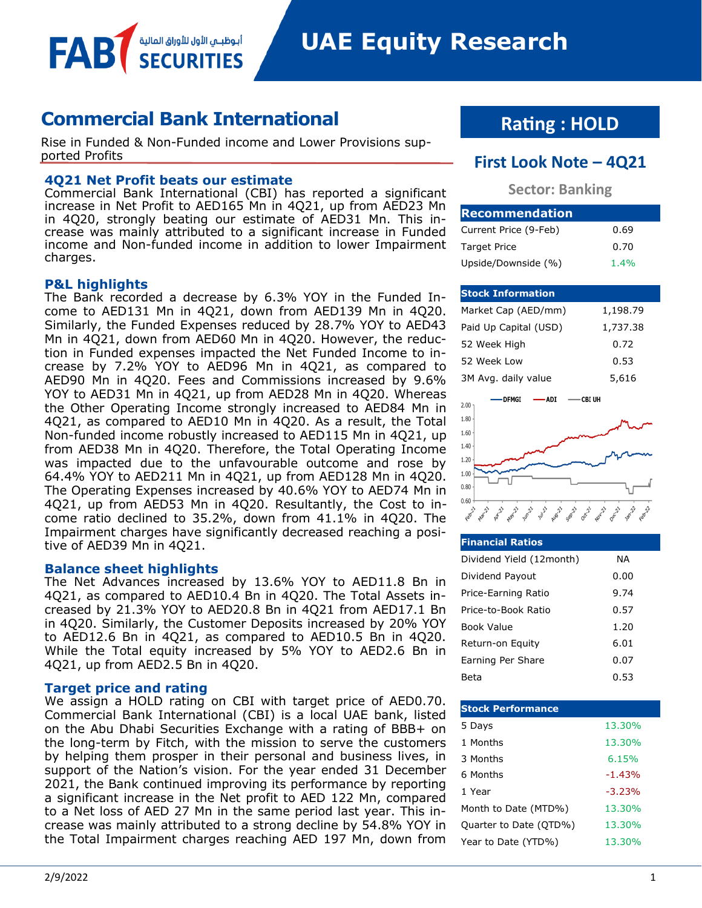أبوظبــي الأول للأوراق المالية

### **Commercial Bank International**

Rise in Funded & Non-Funded income and Lower Provisions supported Profits **First Look Note – 4Q21**

#### **4Q21 Net Profit beats our estimate**

Commercial Bank International (CBI) has reported a significant increase in Net Profit to AED165 Mn in 4Q21, up from AED23 Mn in 4Q20, strongly beating our estimate of AED31 Mn. This increase was mainly attributed to a significant increase in Funded income and Non-funded income in addition to lower Impairment charges.

#### **P&L highlights**

FAB

The Bank recorded a decrease by 6.3% YOY in the Funded Income to AED131 Mn in 4Q21, down from AED139 Mn in 4Q20. Similarly, the Funded Expenses reduced by 28.7% YOY to AED43 Mn in 4Q21, down from AED60 Mn in 4Q20. However, the reduction in Funded expenses impacted the Net Funded Income to increase by 7.2% YOY to AED96 Mn in 4Q21, as compared to AED90 Mn in 4Q20. Fees and Commissions increased by 9.6% YOY to AED31 Mn in 4Q21, up from AED28 Mn in 4Q20. Whereas the Other Operating Income strongly increased to AED84 Mn in 4Q21, as compared to AED10 Mn in 4Q20. As a result, the Total Non-funded income robustly increased to AED115 Mn in 4Q21, up from AED38 Mn in 4Q20. Therefore, the Total Operating Income was impacted due to the unfavourable outcome and rose by 64.4% YOY to AED211 Mn in 4Q21, up from AED128 Mn in 4Q20. The Operating Expenses increased by 40.6% YOY to AED74 Mn in 4Q21, up from AED53 Mn in 4Q20. Resultantly, the Cost to income ratio declined to 35.2%, down from 41.1% in 4Q20. The Impairment charges have significantly decreased reaching a positive of AED39 Mn in 4Q21.

#### **Balance sheet highlights**

The Net Advances increased by 13.6% YOY to AED11.8 Bn in 4Q21, as compared to AED10.4 Bn in 4Q20. The Total Assets increased by 21.3% YOY to AED20.8 Bn in 4Q21 from AED17.1 Bn in 4Q20. Similarly, the Customer Deposits increased by 20% YOY to AED12.6 Bn in 4Q21, as compared to AED10.5 Bn in 4Q20. While the Total equity increased by 5% YOY to AED2.6 Bn in 4Q21, up from AED2.5 Bn in 4Q20.

#### **Target price and rating**

We assign a HOLD rating on CBI with target price of AED0.70. Commercial Bank International (CBI) is a local UAE bank, listed on the Abu Dhabi Securities Exchange with a rating of BBB+ on the long-term by Fitch, with the mission to serve the customers by helping them prosper in their personal and business lives, in support of the Nation's vision. For the year ended 31 December 2021, the Bank continued improving its performance by reporting a significant increase in the Net profit to AED 122 Mn, compared to a Net loss of AED 27 Mn in the same period last year. This increase was mainly attributed to a strong decline by 54.8% YOY in the Total Impairment charges reaching AED 197 Mn, down from

## **Rating : HOLD**

#### **Sector: Banking**

| <b>Recommendation</b> |      |
|-----------------------|------|
| Current Price (9-Feb) | 0.69 |
| <b>Target Price</b>   | 0.70 |
| Upside/Downside (%)   | 1.4% |

#### **Stock Information**

| Market Cap (AED/mm)   | 1,198.79 |
|-----------------------|----------|
| Paid Up Capital (USD) | 1,737.38 |
| 52 Week High          | 0.72     |
| 52 Week Low           | 0.53     |
| 3M Avg. daily value   | 5,616    |



| <b>Financial Ratios</b>  |      |
|--------------------------|------|
| Dividend Yield (12month) | ΝA   |
| Dividend Payout          | 0.00 |
| Price-Earning Ratio      | 9.74 |
| Price-to-Book Ratio      | 0.57 |
| Book Value               | 1.20 |
| Return-on Equity         | 6.01 |
| Earning Per Share        | 0.07 |
| Beta                     | 0.53 |

| <b>Stock Performance</b> |          |
|--------------------------|----------|
| 5 Days                   | 13.30%   |
| 1 Months                 | 13.30%   |
| 3 Months                 | 6.15%    |
| 6 Months                 | $-1.43%$ |
| 1 Year                   | $-3.23%$ |
| Month to Date (MTD%)     | 13.30%   |
| Quarter to Date (QTD%)   | 13.30%   |
| Year to Date (YTD%)      | 13.30%   |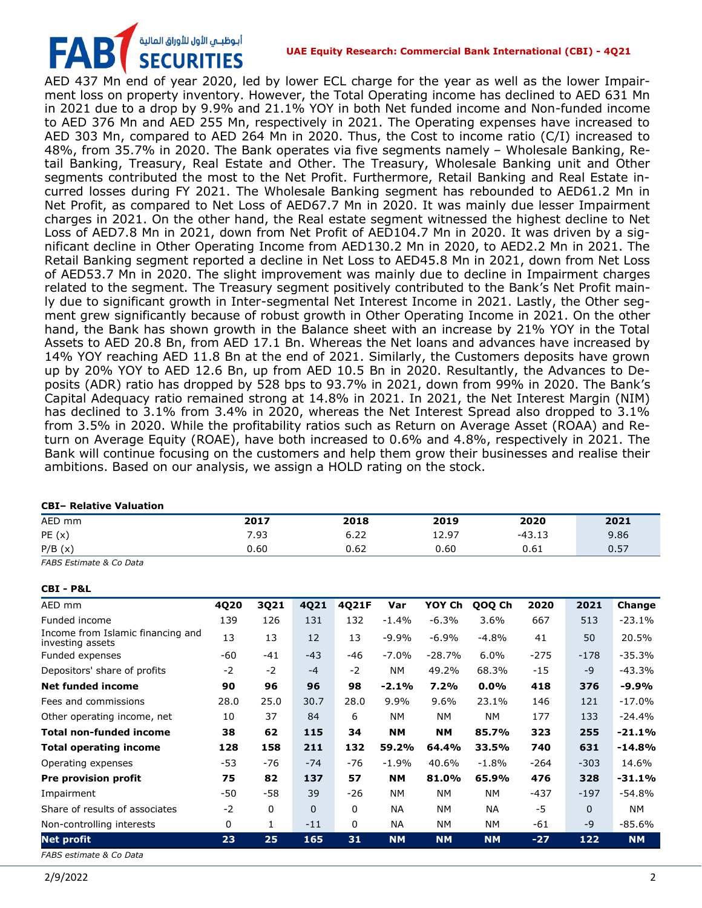## أبوظبـي الأول للأوراق المالية<br>SECURITIES FAB

**UAE Equity Research: Commercial Bank International (CBI) - 4Q21**

AED 437 Mn end of year 2020, led by lower ECL charge for the year as well as the lower Impairment loss on property inventory. However, the Total Operating income has declined to AED 631 Mn in 2021 due to a drop by 9.9% and 21.1% YOY in both Net funded income and Non-funded income to AED 376 Mn and AED 255 Mn, respectively in 2021. The Operating expenses have increased to AED 303 Mn, compared to AED 264 Mn in 2020. Thus, the Cost to income ratio (C/I) increased to 48%, from 35.7% in 2020. The Bank operates via five segments namely – Wholesale Banking, Retail Banking, Treasury, Real Estate and Other. The Treasury, Wholesale Banking unit and Other segments contributed the most to the Net Profit. Furthermore, Retail Banking and Real Estate incurred losses during FY 2021. The Wholesale Banking segment has rebounded to AED61.2 Mn in Net Profit, as compared to Net Loss of AED67.7 Mn in 2020. It was mainly due lesser Impairment charges in 2021. On the other hand, the Real estate segment witnessed the highest decline to Net Loss of AED7.8 Mn in 2021, down from Net Profit of AED104.7 Mn in 2020. It was driven by a significant decline in Other Operating Income from AED130.2 Mn in 2020, to AED2.2 Mn in 2021. The Retail Banking segment reported a decline in Net Loss to AED45.8 Mn in 2021, down from Net Loss of AED53.7 Mn in 2020. The slight improvement was mainly due to decline in Impairment charges related to the segment. The Treasury segment positively contributed to the Bank's Net Profit mainly due to significant growth in Inter-segmental Net Interest Income in 2021. Lastly, the Other segment grew significantly because of robust growth in Other Operating Income in 2021. On the other hand, the Bank has shown growth in the Balance sheet with an increase by 21% YOY in the Total Assets to AED 20.8 Bn, from AED 17.1 Bn. Whereas the Net loans and advances have increased by 14% YOY reaching AED 11.8 Bn at the end of 2021. Similarly, the Customers deposits have grown up by 20% YOY to AED 12.6 Bn, up from AED 10.5 Bn in 2020. Resultantly, the Advances to Deposits (ADR) ratio has dropped by 528 bps to 93.7% in 2021, down from 99% in 2020. The Bank's Capital Adequacy ratio remained strong at 14.8% in 2021. In 2021, the Net Interest Margin (NIM) has declined to 3.1% from 3.4% in 2020, whereas the Net Interest Spread also dropped to 3.1% from 3.5% in 2020. While the profitability ratios such as Return on Average Asset (ROAA) and Return on Average Equity (ROAE), have both increased to 0.6% and 4.8%, respectively in 2021. The Bank will continue focusing on the customers and help them grow their businesses and realise their ambitions. Based on our analysis, we assign a HOLD rating on the stock.

#### **CBI– Relative Valuation**

| AED mm | 2017 | 2018 | 2019  | 2020                     | 2021 |
|--------|------|------|-------|--------------------------|------|
| PE(x)  | 7.93 | 6.22 | 12.97 | $-43$<br>- 1. 2<br>−−……⊤ | 9.86 |
| P/B(x) | 0.60 | 0.62 | 0.60  | 0.61                     | 0.57 |

*FABS Estimate & Co Data*

**CBI - P&L**

| AED mm                                                | 4Q20         | 3Q21         | 4Q21     | 4Q21F | Var       | YOY Ch    | QOQ Ch    | 2020   | 2021     | Change    |
|-------------------------------------------------------|--------------|--------------|----------|-------|-----------|-----------|-----------|--------|----------|-----------|
| Funded income                                         | 139          | 126          | 131      | 132   | $-1.4%$   | $-6.3%$   | 3.6%      | 667    | 513      | $-23.1%$  |
| Income from Islamic financing and<br>investing assets | 13           | 13           | 12       | 13    | $-9.9%$   | $-6.9%$   | $-4.8%$   | 41     | 50       | 20.5%     |
| Funded expenses                                       | -60          | $-41$        | $-43$    | -46   | $-7.0%$   | $-28.7%$  | 6.0%      | $-275$ | $-178$   | $-35.3%$  |
| Depositors' share of profits                          | $-2$         | $-2$         | $-4$     | $-2$  | NΜ        | 49.2%     | 68.3%     | $-15$  | $-9$     | $-43.3%$  |
| <b>Net funded income</b>                              | 90           | 96           | 96       | 98    | $-2.1%$   | 7.2%      | $0.0\%$   | 418    | 376      | $-9.9%$   |
| Fees and commissions                                  | 28.0         | 25.0         | 30.7     | 28.0  | $9.9\%$   | $9.6\%$   | 23.1%     | 146    | 121      | $-17.0%$  |
| Other operating income, net                           | 10           | 37           | 84       | 6     | <b>NM</b> | <b>NM</b> | <b>NM</b> | 177    | 133      | $-24.4%$  |
| <b>Total non-funded income</b>                        | 38           | 62           | 115      | 34    | <b>NM</b> | <b>NM</b> | 85.7%     | 323    | 255      | $-21.1%$  |
| <b>Total operating income</b>                         | 128          | 158          | 211      | 132   | 59.2%     | 64.4%     | 33.5%     | 740    | 631      | $-14.8%$  |
| Operating expenses                                    | $-53$        | -76          | $-74$    | $-76$ | $-1.9%$   | 40.6%     | $-1.8\%$  | $-264$ | $-303$   | 14.6%     |
| Pre provision profit                                  | 75           | 82           | 137      | 57    | <b>NM</b> | 81.0%     | 65.9%     | 476    | 328      | $-31.1%$  |
| Impairment                                            | -50          | -58          | 39       | $-26$ | NΜ        | <b>NM</b> | NΜ        | -437   | $-197$   | $-54.8%$  |
| Share of results of associates                        | $-2$         | $\mathbf{0}$ | $\Omega$ | 0     | <b>NA</b> | <b>NM</b> | NA.       | $-5$   | $\Omega$ | <b>NM</b> |
| Non-controlling interests                             | $\mathbf{0}$ |              | $-11$    | 0     | <b>NA</b> | <b>NM</b> | NΜ        | -61    | $-9$     | $-85.6%$  |
| <b>Net profit</b>                                     | 23           | 25           | 165      | 31    | <b>NM</b> | <b>NM</b> | <b>NM</b> | $-27$  | 122      | <b>NM</b> |
|                                                       |              |              |          |       |           |           |           |        |          |           |

*FABS estimate & Co Data*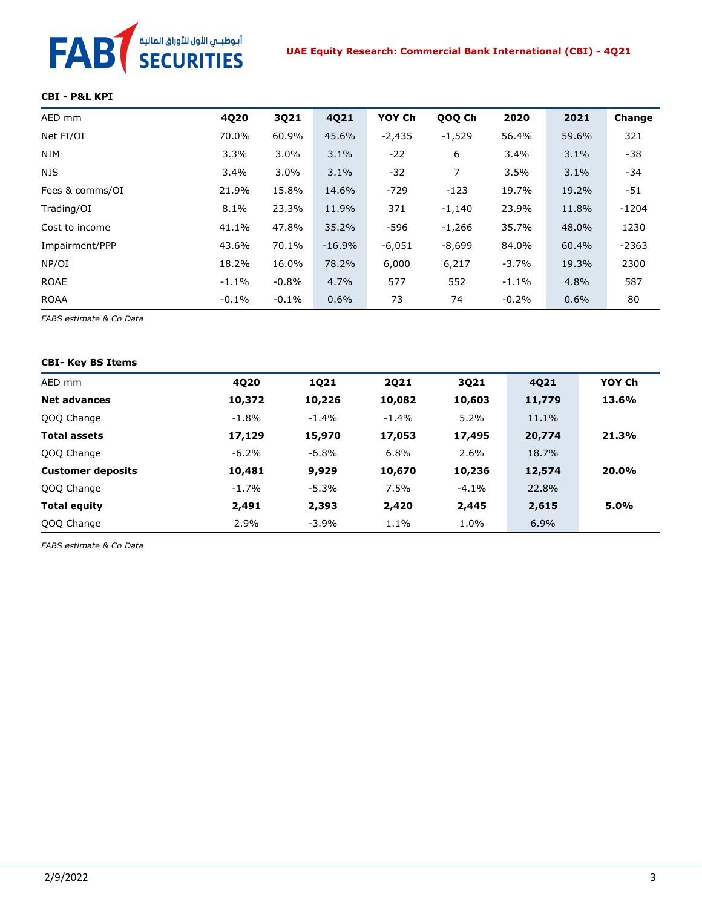# FAB<sup>T</sup> SECURITIES

#### **CBI - P&L KPI**

| AED mm          | 4Q20     | 3Q21    | 4Q21     | YOY Ch   | QOQ Ch         | 2020     | 2021  | Change  |
|-----------------|----------|---------|----------|----------|----------------|----------|-------|---------|
| Net FI/OI       | 70.0%    | 60.9%   | 45.6%    | $-2,435$ | $-1,529$       | 56.4%    | 59.6% | 321     |
| <b>NIM</b>      | 3.3%     | $3.0\%$ | 3.1%     | $-22$    | 6              | $3.4\%$  | 3.1%  | -38     |
| <b>NIS</b>      | 3.4%     | 3.0%    | 3.1%     | $-32$    | $\overline{7}$ | 3.5%     | 3.1%  | -34     |
| Fees & comms/OI | 21.9%    | 15.8%   | 14.6%    | $-729$   | $-123$         | 19.7%    | 19.2% | -51     |
| Trading/OI      | 8.1%     | 23.3%   | 11.9%    | 371      | $-1,140$       | 23.9%    | 11.8% | $-1204$ |
| Cost to income  | 41.1%    | 47.8%   | 35.2%    | -596     | $-1,266$       | 35.7%    | 48.0% | 1230    |
| Impairment/PPP  | 43.6%    | 70.1%   | $-16.9%$ | $-6,051$ | $-8,699$       | 84.0%    | 60.4% | $-2363$ |
| NP/OI           | 18.2%    | 16.0%   | 78.2%    | 6,000    | 6,217          | $-3.7%$  | 19.3% | 2300    |
| <b>ROAE</b>     | $-1.1\%$ | $-0.8%$ | 4.7%     | 577      | 552            | $-1.1\%$ | 4.8%  | 587     |
| <b>ROAA</b>     | $-0.1%$  | $-0.1%$ | 0.6%     | 73       | 74             | $-0.2%$  | 0.6%  | 80      |

*FABS estimate & Co Data*

#### **CBI- Key BS Items**

| AED mm                   | 4Q20     | 1Q21    | <b>2Q21</b> | 3Q21    | 4Q21   | YOY Ch |
|--------------------------|----------|---------|-------------|---------|--------|--------|
| <b>Net advances</b>      | 10,372   | 10,226  | 10,082      | 10,603  | 11,779 | 13.6%  |
| QOQ Change               | $-1.8%$  | $-1.4%$ | $-1.4%$     | 5.2%    | 11.1%  |        |
| <b>Total assets</b>      | 17,129   | 15,970  | 17,053      | 17,495  | 20,774 | 21.3%  |
| QOQ Change               | $-6.2\%$ | -6.8%   | 6.8%        | 2.6%    | 18.7%  |        |
| <b>Customer deposits</b> | 10,481   | 9,929   | 10,670      | 10,236  | 12,574 | 20.0%  |
| QOQ Change               | $-1.7%$  | $-5.3%$ | 7.5%        | $-4.1%$ | 22.8%  |        |
| <b>Total equity</b>      | 2,491    | 2,393   | 2,420       | 2,445   | 2,615  | 5.0%   |
| QOQ Change               | 2.9%     | $-3.9%$ | 1.1%        | 1.0%    | 6.9%   |        |

*FABS estimate & Co Data*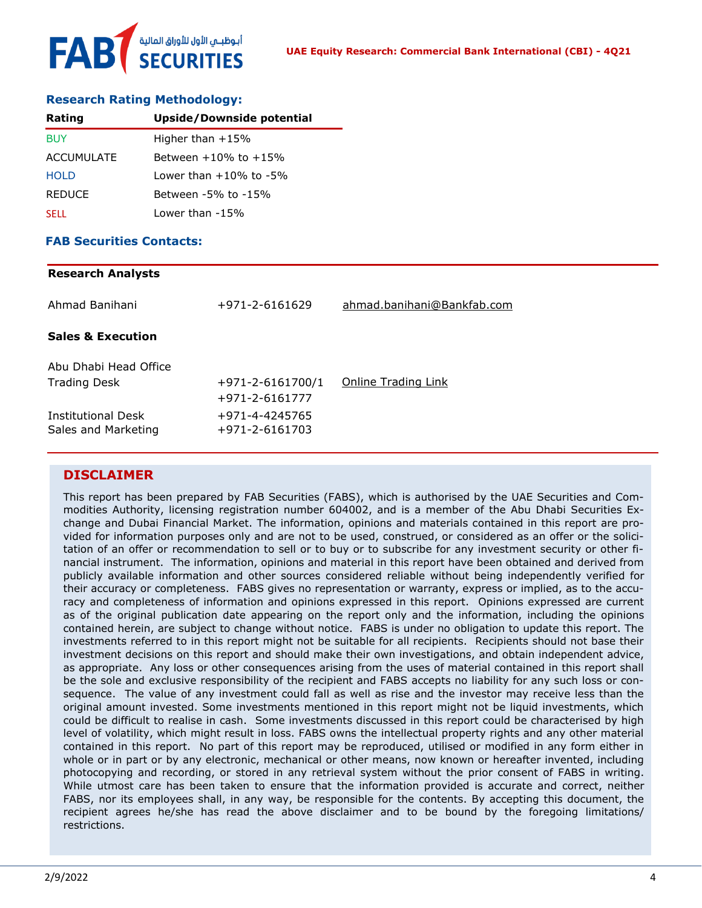#### **Research Rating Methodology:**

| Rating        | <b>Upside/Downside potential</b> |
|---------------|----------------------------------|
| <b>BUY</b>    | Higher than $+15%$               |
| ACCUMULATE    | Between $+10\%$ to $+15\%$       |
| <b>HOLD</b>   | Lower than $+10\%$ to $-5\%$     |
| <b>REDUCE</b> | Between -5% to -15%              |
| <b>SELL</b>   | Lower than -15%                  |

#### **FAB Securities Contacts:**

| <b>Research Analysts</b>                         |                                          |                            |
|--------------------------------------------------|------------------------------------------|----------------------------|
| Ahmad Banihani                                   | +971-2-6161629                           | ahmad.banihani@Bankfab.com |
| <b>Sales &amp; Execution</b>                     |                                          |                            |
| Abu Dhabi Head Office                            |                                          |                            |
| <b>Trading Desk</b>                              | $+971 - 2 - 6161700/1$<br>+971-2-6161777 | Online Trading Link        |
| <b>Institutional Desk</b><br>Sales and Marketing | +971-4-4245765<br>+971-2-6161703         |                            |
|                                                  |                                          |                            |

#### **DISCLAIMER**

This report has been prepared by FAB Securities (FABS), which is authorised by the UAE Securities and Commodities Authority, licensing registration number 604002, and is a member of the Abu Dhabi Securities Exchange and Dubai Financial Market. The information, opinions and materials contained in this report are provided for information purposes only and are not to be used, construed, or considered as an offer or the solicitation of an offer or recommendation to sell or to buy or to subscribe for any investment security or other financial instrument. The information, opinions and material in this report have been obtained and derived from publicly available information and other sources considered reliable without being independently verified for their accuracy or completeness. FABS gives no representation or warranty, express or implied, as to the accuracy and completeness of information and opinions expressed in this report. Opinions expressed are current as of the original publication date appearing on the report only and the information, including the opinions contained herein, are subject to change without notice. FABS is under no obligation to update this report. The investments referred to in this report might not be suitable for all recipients. Recipients should not base their investment decisions on this report and should make their own investigations, and obtain independent advice, as appropriate. Any loss or other consequences arising from the uses of material contained in this report shall be the sole and exclusive responsibility of the recipient and FABS accepts no liability for any such loss or consequence. The value of any investment could fall as well as rise and the investor may receive less than the original amount invested. Some investments mentioned in this report might not be liquid investments, which could be difficult to realise in cash. Some investments discussed in this report could be characterised by high level of volatility, which might result in loss. FABS owns the intellectual property rights and any other material contained in this report. No part of this report may be reproduced, utilised or modified in any form either in whole or in part or by any electronic, mechanical or other means, now known or hereafter invented, including photocopying and recording, or stored in any retrieval system without the prior consent of FABS in writing. While utmost care has been taken to ensure that the information provided is accurate and correct, neither FABS, nor its employees shall, in any way, be responsible for the contents. By accepting this document, the recipient agrees he/she has read the above disclaimer and to be bound by the foregoing limitations/ restrictions.